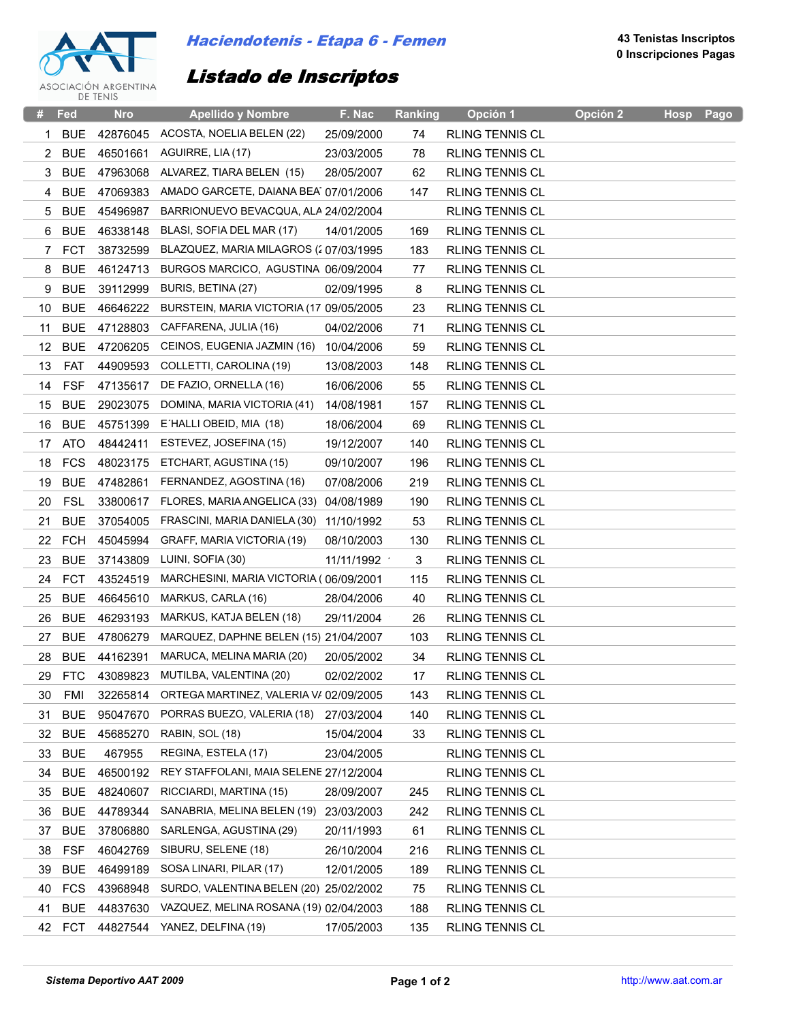

## *Haciendotenis - Etapa 6 - Femen*

## **43 Tenistas Inscriptos 0 Inscripciones Pagas**

## *Listado de Inscriptos*

|              | Fed        | <b>Nro</b> | <b>Apellido y Nombre</b>                | F. Nac     | Ranking | Opción 1               | Opción 2 | <b>Hosp</b> | Pago |
|--------------|------------|------------|-----------------------------------------|------------|---------|------------------------|----------|-------------|------|
| 1            | <b>BUE</b> | 42876045   | ACOSTA, NOELIA BELEN (22)               | 25/09/2000 | 74      | <b>RLING TENNIS CL</b> |          |             |      |
| 2            | <b>BUE</b> | 46501661   | AGUIRRE, LIA (17)                       | 23/03/2005 | 78      | <b>RLING TENNIS CL</b> |          |             |      |
| 3            | <b>BUE</b> | 47963068   | ALVAREZ, TIARA BELEN (15)               | 28/05/2007 | 62      | <b>RLING TENNIS CL</b> |          |             |      |
| 4            | <b>BUE</b> | 47069383   | AMADO GARCETE, DAIANA BEA 07/01/2006    |            | 147     | <b>RLING TENNIS CL</b> |          |             |      |
| 5            | <b>BUE</b> | 45496987   | BARRIONUEVO BEVACQUA, ALA 24/02/2004    |            |         | <b>RLING TENNIS CL</b> |          |             |      |
| 6            | <b>BUE</b> | 46338148   | BLASI, SOFIA DEL MAR (17)               | 14/01/2005 | 169     | <b>RLING TENNIS CL</b> |          |             |      |
| $\mathbf{7}$ | <b>FCT</b> | 38732599   | BLAZQUEZ, MARIA MILAGROS (207/03/1995   |            | 183     | <b>RLING TENNIS CL</b> |          |             |      |
| 8            | <b>BUE</b> | 46124713   | BURGOS MARCICO, AGUSTINA 06/09/2004     |            | 77      | <b>RLING TENNIS CL</b> |          |             |      |
| 9            | <b>BUE</b> | 39112999   | BURIS, BETINA (27)                      | 02/09/1995 | 8       | <b>RLING TENNIS CL</b> |          |             |      |
| 10           | <b>BUE</b> | 46646222   | BURSTEIN, MARIA VICTORIA (17 09/05/2005 |            | 23      | <b>RLING TENNIS CL</b> |          |             |      |
| 11           | <b>BUE</b> | 47128803   | CAFFARENA, JULIA (16)                   | 04/02/2006 | 71      | <b>RLING TENNIS CL</b> |          |             |      |
| 12           | <b>BUE</b> | 47206205   | CEINOS, EUGENIA JAZMIN (16)             | 10/04/2006 | 59      | <b>RLING TENNIS CL</b> |          |             |      |
| 13           | FAT        | 44909593   | COLLETTI, CAROLINA (19)                 | 13/08/2003 | 148     | <b>RLING TENNIS CL</b> |          |             |      |
| 14           | <b>FSF</b> | 47135617   | DE FAZIO, ORNELLA (16)                  | 16/06/2006 | 55      | <b>RLING TENNIS CL</b> |          |             |      |
| 15           | <b>BUE</b> | 29023075   | DOMINA, MARIA VICTORIA (41)             | 14/08/1981 | 157     | <b>RLING TENNIS CL</b> |          |             |      |
| 16           | <b>BUE</b> | 45751399   | E'HALLI OBEID, MIA (18)                 | 18/06/2004 | 69      | <b>RLING TENNIS CL</b> |          |             |      |
| 17           | <b>ATO</b> | 48442411   | ESTEVEZ, JOSEFINA (15)                  | 19/12/2007 | 140     | <b>RLING TENNIS CL</b> |          |             |      |
| 18           | <b>FCS</b> | 48023175   | ETCHART, AGUSTINA (15)                  | 09/10/2007 | 196     | <b>RLING TENNIS CL</b> |          |             |      |
| 19           | <b>BUE</b> | 47482861   | FERNANDEZ, AGOSTINA (16)                | 07/08/2006 | 219     | <b>RLING TENNIS CL</b> |          |             |      |
| 20           | <b>FSL</b> | 33800617   | FLORES, MARIA ANGELICA (33)             | 04/08/1989 | 190     | <b>RLING TENNIS CL</b> |          |             |      |
| 21           | <b>BUE</b> | 37054005   | FRASCINI, MARIA DANIELA (30)            | 11/10/1992 | 53      | <b>RLING TENNIS CL</b> |          |             |      |
| 22           | <b>FCH</b> | 45045994   | GRAFF, MARIA VICTORIA (19)              | 08/10/2003 | 130     | <b>RLING TENNIS CL</b> |          |             |      |
| 23           | <b>BUE</b> | 37143809   | LUINI, SOFIA (30)                       | 11/11/1992 | 3       | <b>RLING TENNIS CL</b> |          |             |      |
| 24           | <b>FCT</b> | 43524519   | MARCHESINI, MARIA VICTORIA (06/09/2001  |            | 115     | <b>RLING TENNIS CL</b> |          |             |      |
| 25           | <b>BUE</b> | 46645610   | MARKUS, CARLA (16)                      | 28/04/2006 | 40      | <b>RLING TENNIS CL</b> |          |             |      |
| 26           | <b>BUE</b> | 46293193   | MARKUS, KATJA BELEN (18)                | 29/11/2004 | 26      | <b>RLING TENNIS CL</b> |          |             |      |
| 27           | <b>BUE</b> | 47806279   | MARQUEZ, DAPHNE BELEN (15) 21/04/2007   |            | 103     | <b>RLING TENNIS CL</b> |          |             |      |
| 28           | <b>BUE</b> | 44162391   | MARUCA, MELINA MARIA (20)               | 20/05/2002 | 34      | RLING TENNIS CL        |          |             |      |
| 29           | <b>FTC</b> |            | 43089823 MUTILBA, VALENTINA (20)        | 02/02/2002 | 17      | <b>RLING TENNIS CL</b> |          |             |      |
| 30           | <b>FMI</b> | 32265814   | ORTEGA MARTINEZ, VALERIA V/ 02/09/2005  |            | 143     | <b>RLING TENNIS CL</b> |          |             |      |
| 31           | <b>BUE</b> | 95047670   | PORRAS BUEZO, VALERIA (18)              | 27/03/2004 | 140     | <b>RLING TENNIS CL</b> |          |             |      |
| 32           | <b>BUE</b> | 45685270   | RABIN, SOL (18)                         | 15/04/2004 | 33      | RLING TENNIS CL        |          |             |      |
| 33           | <b>BUE</b> | 467955     | REGINA, ESTELA (17)                     | 23/04/2005 |         | <b>RLING TENNIS CL</b> |          |             |      |
| 34           | <b>BUE</b> | 46500192   | REY STAFFOLANI, MAIA SELENE 27/12/2004  |            |         | RLING TENNIS CL        |          |             |      |
| 35           | <b>BUE</b> | 48240607   | RICCIARDI, MARTINA (15)                 | 28/09/2007 | 245     | <b>RLING TENNIS CL</b> |          |             |      |
| 36           | <b>BUE</b> | 44789344   | SANABRIA, MELINA BELEN (19)             | 23/03/2003 | 242     | <b>RLING TENNIS CL</b> |          |             |      |
| 37           | <b>BUE</b> | 37806880   | SARLENGA, AGUSTINA (29)                 | 20/11/1993 | 61      | <b>RLING TENNIS CL</b> |          |             |      |
| 38           | <b>FSF</b> | 46042769   | SIBURU, SELENE (18)                     | 26/10/2004 | 216     | RLING TENNIS CL        |          |             |      |
| 39           | <b>BUE</b> | 46499189   | SOSA LINARI, PILAR (17)                 | 12/01/2005 | 189     | <b>RLING TENNIS CL</b> |          |             |      |
| 40           | <b>FCS</b> | 43968948   | SURDO, VALENTINA BELEN (20) 25/02/2002  |            | 75      | RLING TENNIS CL        |          |             |      |
| 41           | <b>BUE</b> | 44837630   | VAZQUEZ, MELINA ROSANA (19) 02/04/2003  |            | 188     | <b>RLING TENNIS CL</b> |          |             |      |
| 42           | <b>FCT</b> | 44827544   | YANEZ, DELFINA (19)                     | 17/05/2003 | 135     | RLING TENNIS CL        |          |             |      |
|              |            |            |                                         |            |         |                        |          |             |      |